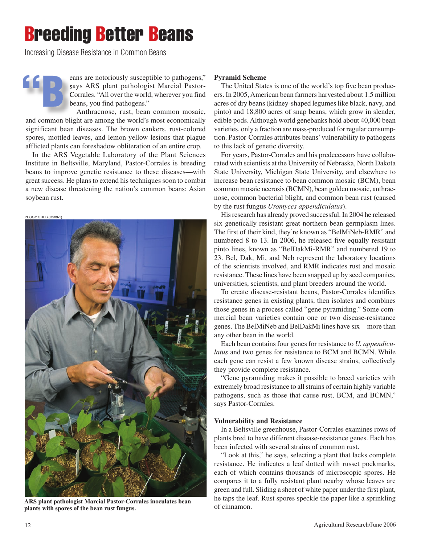# Breeding Better Beans

Increasing Disease Resistance in Common Beans

eans are notoriously susceptible to pathogens," says ARS plant pathologist Marcial Pastor-Corrales. "All over the world, wherever you find beans, you find pathogens." **"B**

Anthracnose, rust, bean common mosaic, and common blight are among the world's most economically significant bean diseases. The brown cankers, rust-colored spores, mottled leaves, and lemon-yellow lesions that plague afflicted plants can foreshadow obliteration of an entire crop.

In the ARS Vegetable Laboratory of the Plant Sciences Institute in Beltsville, Maryland, Pastor-Corrales is breeding beans to improve genetic resistance to these diseases—with great success. He plans to extend his techniques soon to combat a new disease threatening the nation's common beans: Asian soybean rust.

PEGGY GREB (D509-1)



**ARS plant pathologist Marcial Pastor-Corrales inoculates bean plants with spores of the bean rust fungus.**

## **Pyramid Scheme**

The United States is one of the world's top five bean producers. In 2005, American bean farmers harvested about 1.5 million acres of dry beans (kidney-shaped legumes like black, navy, and pinto) and 18,800 acres of snap beans, which grow in slender, edible pods. Although world genebanks hold about 40,000 bean varieties, only a fraction are mass-produced for regular consumption. Pastor-Corrales attributes beans' vulnerability to pathogens to this lack of genetic diversity.

For years, Pastor-Corrales and his predecessors have collaborated with scientists at the University of Nebraska, North Dakota State University, Michigan State University, and elsewhere to increase bean resistance to bean common mosaic (BCM), bean common mosaic necrosis (BCMN), bean golden mosaic, anthracnose, common bacterial blight, and common bean rust (caused by the rust fungus *Uromyces appendiculatus*).

His research has already proved successful. In 2004 he released six genetically resistant great northern bean germplasm lines. The first of their kind, they're known as "BelMiNeb-RMR" and numbered 8 to 13. In 2006, he released five equally resistant pinto lines, known as "BelDakMi-RMR" and numbered 19 to 23. Bel, Dak, Mi, and Neb represent the laboratory locations of the scientists involved, and RMR indicates rust and mosaic resistance. These lines have been snapped up by seed companies, universities, scientists, and plant breeders around the world.

To create disease-resistant beans, Pastor-Corrales identifies resistance genes in existing plants, then isolates and combines those genes in a process called "gene pyramiding." Some commercial bean varieties contain one or two disease-resistance genes. The BelMiNeb and BelDakMi lines have six—more than any other bean in the world.

Each bean contains four genes for resistance to *U. appendiculatus* and two genes for resistance to BCM and BCMN. While each gene can resist a few known disease strains, collectively they provide complete resistance.

"Gene pyramiding makes it possible to breed varieties with extremely broad resistance to all strains of certain highly variable pathogens, such as those that cause rust, BCM, and BCMN," says Pastor-Corrales.

### **Vulnerability and Resistance**

In a Beltsville greenhouse, Pastor-Corrales examines rows of plants bred to have different disease-resistance genes. Each has been infected with several strains of common rust.

"Look at this," he says, selecting a plant that lacks complete resistance. He indicates a leaf dotted with russet pockmarks, each of which contains thousands of microscopic spores. He compares it to a fully resistant plant nearby whose leaves are green and full. Sliding a sheet of white paper under the first plant, he taps the leaf. Rust spores speckle the paper like a sprinkling of cinnamon.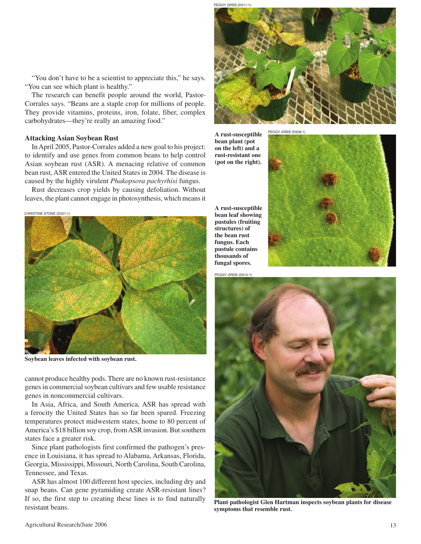"You don't have to be a scientist to appreciate this," he says. "You can see which plant is healthy."

The research can benefit people around the world, Pastor-Corrales says. "Beans are a staple crop for millions of people. They provide vitamins, proteins, iron, folate, fiber, complex carbohydrates—they're really an amazing food."

#### **Attacking Asian Soybean Rust**

In April 2005, Pastor-Corrales added a new goal to his project: to identify and use genes from common beans to help control Asian soybean rust (ASR). A menacing relative of common bean rust, ASR entered the United States in 2004. The disease is caused by the highly virulent *Phakopsora pachyrhisi* fungus.

Rust decreases crop yields by causing defoliation. Without leaves, the plant cannot engage in photosynthesis, which means it

CHRISTINE STONE (D521-1)



**Soybean leaves infected with soybean rust.**

cannot produce healthy pods. There are no known rust-resistance genes in commercial soybean cultivars and few usable resistance genes in noncommercial cultivars.

In Asia, Africa, and South America, ASR has spread with a ferocity the United States has so far been spared. Freezing temperatures protect midwestern states, home to 80 percent of America's \$18 billion soy crop, from ASR invasion. But southern states face a greater risk.

Since plant pathologists first confirmed the pathogen's presence in Louisiana, it has spread to Alabama, Arkansas, Florida, Georgia, Mississippi, Missouri, North Carolina, South Carolina, Tennessee, and Texas.

ASR has almost 100 different host species, including dry and snap beans. Can gene pyramiding create ASR-resistant lines? If so, the first step to creating these lines is to find naturally resistant beans.



PEGGY GREB (D508-1) **A rust-susceptible bean plant (pot on the left) and a rust-resistant one (pot on the right).**

**A rust-susceptible bean leaf showing pustules (fruiting structures) of the bean rust fungus. Each pustule contains thousands of fungal spores.**

PEGGY GREB (D510-1)





**Plant pathologist Glen Hartman inspects soybean plants for disease symptoms that resemble rust.**